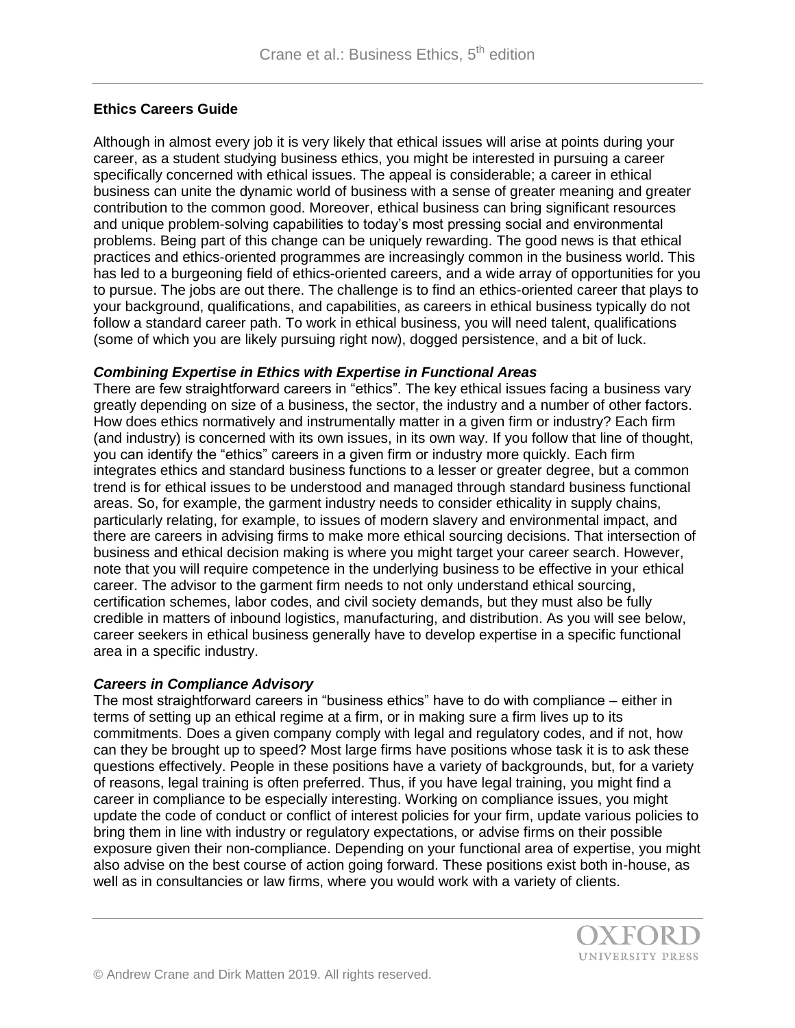# **Ethics Careers Guide**

Although in almost every job it is very likely that ethical issues will arise at points during your career, as a student studying business ethics, you might be interested in pursuing a career specifically concerned with ethical issues. The appeal is considerable; a career in ethical business can unite the dynamic world of business with a sense of greater meaning and greater contribution to the common good. Moreover, ethical business can bring significant resources and unique problem-solving capabilities to today's most pressing social and environmental problems. Being part of this change can be uniquely rewarding. The good news is that ethical practices and ethics-oriented programmes are increasingly common in the business world. This has led to a burgeoning field of ethics-oriented careers, and a wide array of opportunities for you to pursue. The jobs are out there. The challenge is to find an ethics-oriented career that plays to your background, qualifications, and capabilities, as careers in ethical business typically do not follow a standard career path. To work in ethical business, you will need talent, qualifications (some of which you are likely pursuing right now), dogged persistence, and a bit of luck.

## *Combining Expertise in Ethics with Expertise in Functional Areas*

There are few straightforward careers in "ethics". The key ethical issues facing a business vary greatly depending on size of a business, the sector, the industry and a number of other factors. How does ethics normatively and instrumentally matter in a given firm or industry? Each firm (and industry) is concerned with its own issues, in its own way. If you follow that line of thought, you can identify the "ethics" careers in a given firm or industry more quickly. Each firm integrates ethics and standard business functions to a lesser or greater degree, but a common trend is for ethical issues to be understood and managed through standard business functional areas. So, for example, the garment industry needs to consider ethicality in supply chains, particularly relating, for example, to issues of modern slavery and environmental impact, and there are careers in advising firms to make more ethical sourcing decisions. That intersection of business and ethical decision making is where you might target your career search. However, note that you will require competence in the underlying business to be effective in your ethical career. The advisor to the garment firm needs to not only understand ethical sourcing, certification schemes, labor codes, and civil society demands, but they must also be fully credible in matters of inbound logistics, manufacturing, and distribution. As you will see below, career seekers in ethical business generally have to develop expertise in a specific functional area in a specific industry.

## *Careers in Compliance Advisory*

The most straightforward careers in "business ethics" have to do with compliance – either in terms of setting up an ethical regime at a firm, or in making sure a firm lives up to its commitments. Does a given company comply with legal and regulatory codes, and if not, how can they be brought up to speed? Most large firms have positions whose task it is to ask these questions effectively. People in these positions have a variety of backgrounds, but, for a variety of reasons, legal training is often preferred. Thus, if you have legal training, you might find a career in compliance to be especially interesting. Working on compliance issues, you might update the code of conduct or conflict of interest policies for your firm, update various policies to bring them in line with industry or regulatory expectations, or advise firms on their possible exposure given their non-compliance. Depending on your functional area of expertise, you might also advise on the best course of action going forward. These positions exist both in-house, as well as in consultancies or law firms, where you would work with a variety of clients.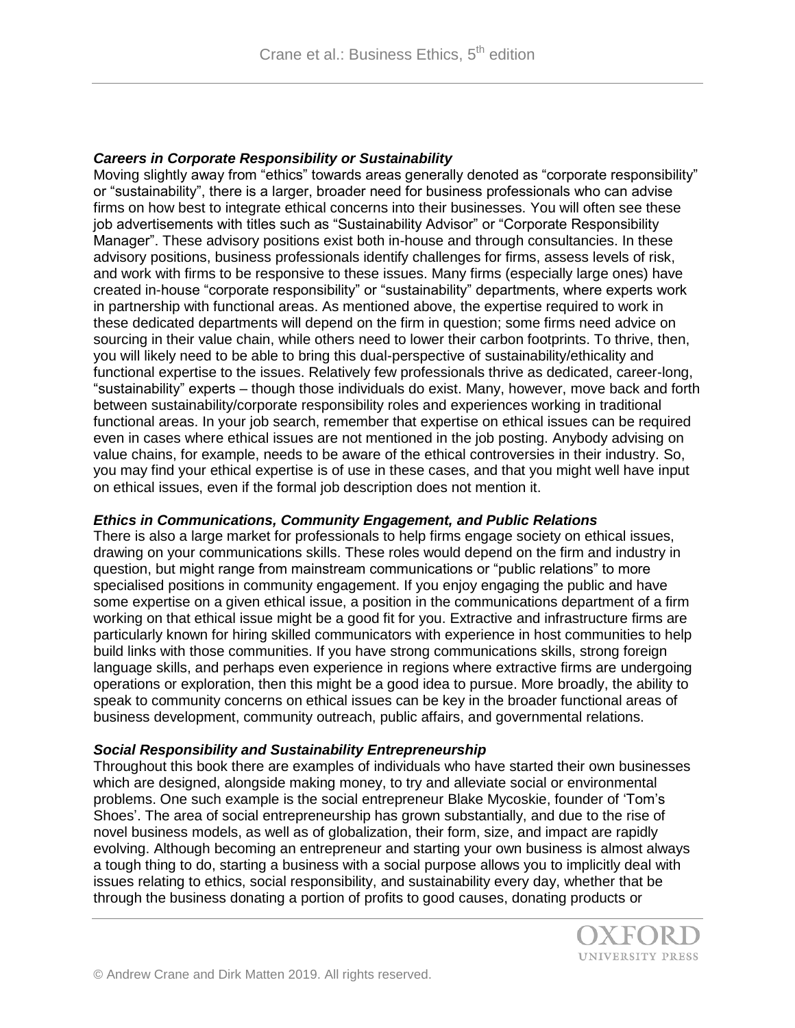## *Careers in Corporate Responsibility or Sustainability*

Moving slightly away from "ethics" towards areas generally denoted as "corporate responsibility" or "sustainability", there is a larger, broader need for business professionals who can advise firms on how best to integrate ethical concerns into their businesses. You will often see these job advertisements with titles such as "Sustainability Advisor" or "Corporate Responsibility Manager". These advisory positions exist both in-house and through consultancies. In these advisory positions, business professionals identify challenges for firms, assess levels of risk, and work with firms to be responsive to these issues. Many firms (especially large ones) have created in-house "corporate responsibility" or "sustainability" departments, where experts work in partnership with functional areas. As mentioned above, the expertise required to work in these dedicated departments will depend on the firm in question; some firms need advice on sourcing in their value chain, while others need to lower their carbon footprints. To thrive, then, you will likely need to be able to bring this dual-perspective of sustainability/ethicality and functional expertise to the issues. Relatively few professionals thrive as dedicated, career-long, "sustainability" experts – though those individuals do exist. Many, however, move back and forth between sustainability/corporate responsibility roles and experiences working in traditional functional areas. In your job search, remember that expertise on ethical issues can be required even in cases where ethical issues are not mentioned in the job posting. Anybody advising on value chains, for example, needs to be aware of the ethical controversies in their industry. So, you may find your ethical expertise is of use in these cases, and that you might well have input on ethical issues, even if the formal job description does not mention it.

#### *Ethics in Communications, Community Engagement, and Public Relations*

There is also a large market for professionals to help firms engage society on ethical issues, drawing on your communications skills. These roles would depend on the firm and industry in question, but might range from mainstream communications or "public relations" to more specialised positions in community engagement. If you enjoy engaging the public and have some expertise on a given ethical issue, a position in the communications department of a firm working on that ethical issue might be a good fit for you. Extractive and infrastructure firms are particularly known for hiring skilled communicators with experience in host communities to help build links with those communities. If you have strong communications skills, strong foreign language skills, and perhaps even experience in regions where extractive firms are undergoing operations or exploration, then this might be a good idea to pursue. More broadly, the ability to speak to community concerns on ethical issues can be key in the broader functional areas of business development, community outreach, public affairs, and governmental relations.

#### *Social Responsibility and Sustainability Entrepreneurship*

Throughout this book there are examples of individuals who have started their own businesses which are designed, alongside making money, to try and alleviate social or environmental problems. One such example is the social entrepreneur Blake Mycoskie, founder of 'Tom's Shoes'. The area of social entrepreneurship has grown substantially, and due to the rise of novel business models, as well as of globalization, their form, size, and impact are rapidly evolving. Although becoming an entrepreneur and starting your own business is almost always a tough thing to do, starting a business with a social purpose allows you to implicitly deal with issues relating to ethics, social responsibility, and sustainability every day, whether that be through the business donating a portion of profits to good causes, donating products or